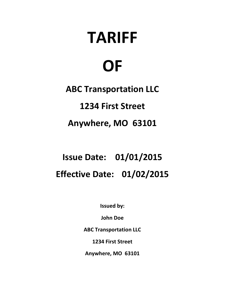# **TARIFF**

## **OF**

**ABC Transportation LLC 1234 First Street**

### **Anywhere, MO 63101**

### **Issue Date: 01/01/2015 Effective Date: 01/02/2015**

**Issued by:**

**John Doe**

**ABC Transportation LLC**

**1234 First Street**

**Anywhere, MO 63101**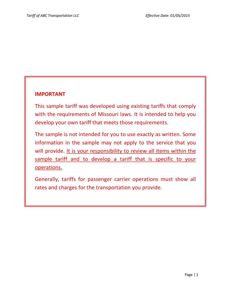#### **IMPORTANT**

This sample tariff was developed using existing tariffs that comply with the requirements of Missouri laws. It is intended to help you develop your own tariff that meets those requirements.

The sample is not intended for you to use exactly as written. Some information in the sample may not apply to the service that you will provide. It is your responsibility to review all items within the sample tariff and to develop a tariff that is specific to your operations.

Generally, tariffs for passenger carrier operations must show all rates and charges for the transportation you provide.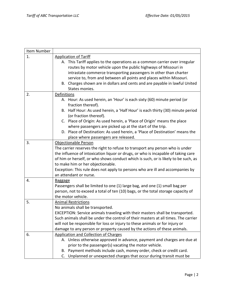| <b>Application of Tariff</b>                                                                                                                                        |  |  |
|---------------------------------------------------------------------------------------------------------------------------------------------------------------------|--|--|
| A. This Tariff applies to the operations as a common carrier over irregular                                                                                         |  |  |
| routes by motor vehicle upon the public highways of Missouri in                                                                                                     |  |  |
| intrastate commerce transporting passengers in other than charter                                                                                                   |  |  |
| service to, from and between all points and places within Missouri.                                                                                                 |  |  |
| B. Charges shown are in dollars and cents and are payable in lawful United<br>States monies.                                                                        |  |  |
| Definitions                                                                                                                                                         |  |  |
| A. Hour: As used herein, an 'Hour' is each sixty (60) minute period (or                                                                                             |  |  |
| fraction thereof).                                                                                                                                                  |  |  |
| B. Half Hour: As used herein, a 'Half Hour' is each thirty (30) minute period                                                                                       |  |  |
| (or fraction thereof).                                                                                                                                              |  |  |
| C. Place of Origin: As used herein, a 'Place of Origin' means the place                                                                                             |  |  |
| where passengers are picked up at the start of the trip.                                                                                                            |  |  |
| D. Place of Destination: As used herein, a 'Place of Destination' means the                                                                                         |  |  |
| place where passengers are released.                                                                                                                                |  |  |
| Objectionable Person                                                                                                                                                |  |  |
| The carrier reserves the right to refuse to transport any person who is under                                                                                       |  |  |
| the influence of intoxication liquor or drugs, or who is incapable of taking care                                                                                   |  |  |
| of him or herself, or who shows conduct which is such, or is likely to be such, as                                                                                  |  |  |
| to make him or her objectionable.                                                                                                                                   |  |  |
| Exception: This rule does not apply to persons who are ill and accompanies by                                                                                       |  |  |
| an attendant or nurse.                                                                                                                                              |  |  |
| <b>Baggage</b>                                                                                                                                                      |  |  |
| Passengers shall be limited to one (1) large bag, and one (1) small bag per                                                                                         |  |  |
| person, not to exceed a total of ten (10) bags, or the total storage capacity of                                                                                    |  |  |
| the motor vehicle.                                                                                                                                                  |  |  |
| <b>Animal Restrictions</b>                                                                                                                                          |  |  |
| No animals shall be transported.                                                                                                                                    |  |  |
| EXCEPTION: Service animals traveling with their masters shall be transported.<br>Such animals shall be under the control of their masters at all times. The carrier |  |  |
| will not be responsible for loss or injury to these animals or for injury or                                                                                        |  |  |
| damage to any person or property caused by the actions of these animals.                                                                                            |  |  |
| <b>Application and Collection of Charges</b>                                                                                                                        |  |  |
| A. Unless otherwise approved in advance, payment and charges are due at                                                                                             |  |  |
| prior to the passenger(s) vacating the motor vehicle.                                                                                                               |  |  |
| Payment methods include cash, money order, check or credit card.<br>В.                                                                                              |  |  |
| Unplanned or unexpected charges that occur during transit must be<br>C.                                                                                             |  |  |
|                                                                                                                                                                     |  |  |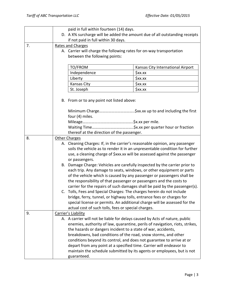|    | paid in full within fourteen (14) days.   |                                                                            |                                                                              |  |
|----|-------------------------------------------|----------------------------------------------------------------------------|------------------------------------------------------------------------------|--|
|    |                                           | D. A X% surcharge will be added the amount due of all outstanding receipts |                                                                              |  |
|    |                                           | if not paid in full within 30 days.                                        |                                                                              |  |
| 7. | Rates and Charges                         |                                                                            |                                                                              |  |
|    |                                           | A. Carrier will charge the following rates for on-way transportation       |                                                                              |  |
|    |                                           | between the following points:                                              |                                                                              |  |
|    |                                           |                                                                            |                                                                              |  |
|    |                                           | TO/FROM                                                                    | Kansas City International Airport                                            |  |
|    |                                           | Independence                                                               | \$xx.xx                                                                      |  |
|    |                                           | Liberty                                                                    | \$xx.xx                                                                      |  |
|    |                                           | Kansas City                                                                | \$xx.xx                                                                      |  |
|    |                                           | St. Joseph                                                                 | \$xx.xx                                                                      |  |
|    |                                           |                                                                            |                                                                              |  |
|    | B. From or to any point not listed above: |                                                                            |                                                                              |  |
|    |                                           |                                                                            |                                                                              |  |
|    |                                           |                                                                            |                                                                              |  |
|    |                                           | four (4) miles.                                                            |                                                                              |  |
|    |                                           |                                                                            |                                                                              |  |
|    |                                           |                                                                            |                                                                              |  |
|    |                                           | thereof at the direction of the passenger.                                 |                                                                              |  |
| 8. |                                           | <b>Other Charges</b>                                                       |                                                                              |  |
|    |                                           |                                                                            | A. Cleaning Charges: If, in the carrier's reasonable opinion, any passenger  |  |
|    |                                           |                                                                            | soils the vehicle as to render it in an unpresentable condition for further  |  |
|    |                                           |                                                                            | use, a cleaning charge of \$xxx.xx will be assessed against the passenger    |  |
|    |                                           | or passengers.                                                             |                                                                              |  |
|    | В.                                        |                                                                            | Damage Charge: Vehicles are carefully inspected by the carrier prior to      |  |
|    |                                           |                                                                            | each trip. Any damage to seats, windows, or other equipment or parts         |  |
|    |                                           |                                                                            | of the vehicle which is caused by any passenger or passengers shall be       |  |
|    |                                           |                                                                            | the responsibility of that passenger or passengers and the costs to          |  |
|    |                                           |                                                                            | carrier for the repairs of such damages shall be paid by the passenger(s).   |  |
|    |                                           |                                                                            | C. Tolls, Fees and Special Charges: The charges herein do not include        |  |
|    |                                           |                                                                            | bridge, ferry, tunnel, or highway tolls, entrance fees or charges for        |  |
|    |                                           |                                                                            | special license or permits. An additional charge will be assessed for the    |  |
| 9. |                                           | actual cost of such tolls, fees or special charges.<br>Carrier's Liability |                                                                              |  |
|    |                                           |                                                                            | A. A carrier will not be liable for delays caused by Acts of nature, public  |  |
|    |                                           |                                                                            | enemies, authority of law, quarantine, perils of navigation, riots, strikes, |  |
|    |                                           |                                                                            | the hazards or dangers incident to a state of war, accidents,                |  |
|    |                                           |                                                                            | breakdowns, bad conditions of the road, snow storms, and other               |  |
|    |                                           |                                                                            | conditions beyond its control, and does not guarantee to arrive at or        |  |
|    |                                           |                                                                            | depart from any point at a specified time. Carrier will endeavor to          |  |
|    |                                           |                                                                            | maintain the schedule submitted by its agents or employees, but is not       |  |
|    |                                           | guaranteed.                                                                |                                                                              |  |
|    |                                           |                                                                            |                                                                              |  |